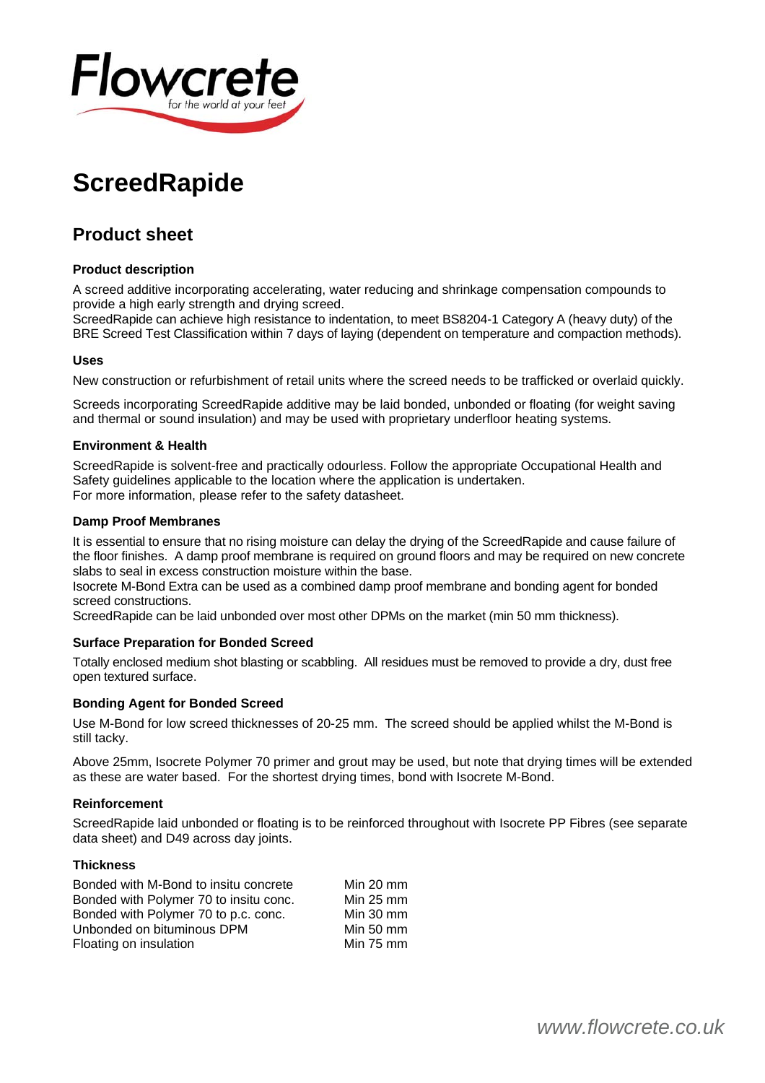

# **ScreedRapide**

# **Product sheet**

# **Product description**

A screed additive incorporating accelerating, water reducing and shrinkage compensation compounds to provide a high early strength and drying screed.

ScreedRapide can achieve high resistance to indentation, to meet BS8204-1 Category A (heavy duty) of the BRE Screed Test Classification within 7 days of laying (dependent on temperature and compaction methods).

# **Uses**

New construction or refurbishment of retail units where the screed needs to be trafficked or overlaid quickly.

Screeds incorporating ScreedRapide additive may be laid bonded, unbonded or floating (for weight saving and thermal or sound insulation) and may be used with proprietary underfloor heating systems.

#### **Environment & Health**

ScreedRapide is solvent-free and practically odourless. Follow the appropriate Occupational Health and Safety guidelines applicable to the location where the application is undertaken. For more information, please refer to the safety datasheet.

#### **Damp Proof Membranes**

It is essential to ensure that no rising moisture can delay the drying of the ScreedRapide and cause failure of the floor finishes. A damp proof membrane is required on ground floors and may be required on new concrete slabs to seal in excess construction moisture within the base.

Isocrete M-Bond Extra can be used as a combined damp proof membrane and bonding agent for bonded screed constructions.

ScreedRapide can be laid unbonded over most other DPMs on the market (min 50 mm thickness).

# **Surface Preparation for Bonded Screed**

Totally enclosed medium shot blasting or scabbling. All residues must be removed to provide a dry, dust free open textured surface.

# **Bonding Agent for Bonded Screed**

Use M-Bond for low screed thicknesses of 20-25 mm. The screed should be applied whilst the M-Bond is still tacky.

Above 25mm, Isocrete Polymer 70 primer and grout may be used, but note that drying times will be extended as these are water based. For the shortest drying times, bond with Isocrete M-Bond.

#### **Reinforcement**

ScreedRapide laid unbonded or floating is to be reinforced throughout with Isocrete PP Fibres (see separate data sheet) and D49 across day joints.

#### **Thickness**

| Bonded with M-Bond to insitu concrete  | Min $20 \text{ mm}$ |
|----------------------------------------|---------------------|
| Bonded with Polymer 70 to insitu conc. | Min $25 \text{ mm}$ |
| Bonded with Polymer 70 to p.c. conc.   | Min $30 \text{ mm}$ |
| Unbonded on bituminous DPM             | Min $50 \text{ mm}$ |
| Floating on insulation                 | Min 75 mm           |